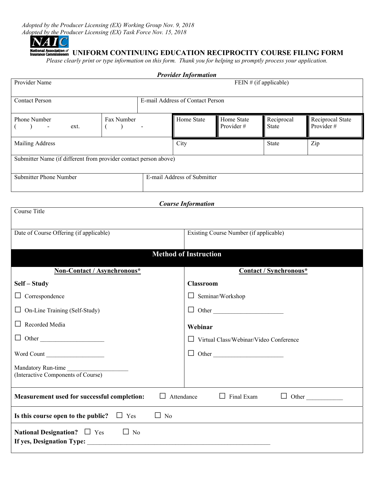*Adopted by the Producer Licensing (EX) Working Group Nov. 9, 2018 Adopted by the Producer Licensing (EX) Task Force Nov. 15, 2018* 



# **National Association of**<br>Insurance Commissioners UNIFORM CONTINUING EDUCATION RECIPROCITY COURSE FILING FORM

*Please clearly print or type information on this form. Thank you for helping us promptly process your application.* 

| <b>Provider Information</b>                                                                               |                                     |                        |                             |                                        |                            |                               |  |  |  |  |  |
|-----------------------------------------------------------------------------------------------------------|-------------------------------------|------------------------|-----------------------------|----------------------------------------|----------------------------|-------------------------------|--|--|--|--|--|
| Provider Name                                                                                             | FEIN # (if applicable)              |                        |                             |                                        |                            |                               |  |  |  |  |  |
| E-mail Address of Contact Person<br><b>Contact Person</b>                                                 |                                     |                        |                             |                                        |                            |                               |  |  |  |  |  |
| Phone Number<br>$\big)$<br>ext.<br>$\blacksquare$                                                         | Fax Number<br>$\lambda$<br>$\left($ |                        | Home State                  | Home State<br>Provider#                | Reciprocal<br><b>State</b> | Reciprocal State<br>Provider# |  |  |  |  |  |
| Mailing Address                                                                                           |                                     |                        | City                        |                                        | <b>State</b>               | Zip                           |  |  |  |  |  |
| Submitter Name (if different from provider contact person above)                                          |                                     |                        |                             |                                        |                            |                               |  |  |  |  |  |
| <b>Submitter Phone Number</b>                                                                             |                                     |                        | E-mail Address of Submitter |                                        |                            |                               |  |  |  |  |  |
| <b>Course Information</b>                                                                                 |                                     |                        |                             |                                        |                            |                               |  |  |  |  |  |
| Course Title                                                                                              |                                     |                        |                             |                                        |                            |                               |  |  |  |  |  |
| Date of Course Offering (if applicable)                                                                   |                                     |                        |                             | Existing Course Number (if applicable) |                            |                               |  |  |  |  |  |
| <b>Method of Instruction</b>                                                                              |                                     |                        |                             |                                        |                            |                               |  |  |  |  |  |
| Non-Contact / Asynchronous*                                                                               |                                     | Contact / Synchronous* |                             |                                        |                            |                               |  |  |  |  |  |
| Self - Study                                                                                              |                                     |                        |                             | <b>Classroom</b>                       |                            |                               |  |  |  |  |  |
| Correspondence                                                                                            |                                     |                        |                             | $\Box$ Seminar/Workshop                |                            |                               |  |  |  |  |  |
| On-Line Training (Self-Study)                                                                             |                                     |                        |                             | $\Box$ Other                           |                            |                               |  |  |  |  |  |
| $\Box$ Recorded Media                                                                                     |                                     |                        | Webinar                     |                                        |                            |                               |  |  |  |  |  |
| $\Box$ Other                                                                                              |                                     |                        |                             | Virtual Class/Webinar/Video Conference |                            |                               |  |  |  |  |  |
| Word Count                                                                                                |                                     |                        |                             | $\Box$ Other                           |                            |                               |  |  |  |  |  |
| Mandatory Run-time<br>Mandatory Run-time<br>(Interactive Components of Course)                            |                                     |                        |                             |                                        |                            |                               |  |  |  |  |  |
| Measurement used for successful completion:<br>$\Box$ Final Exam<br>$\Box$ Other<br>$\perp$<br>Attendance |                                     |                        |                             |                                        |                            |                               |  |  |  |  |  |
| $\Box$ No<br>Is this course open to the public?<br>$\Box$ Yes                                             |                                     |                        |                             |                                        |                            |                               |  |  |  |  |  |
| National Designation? $\Box$ Yes                                                                          | $\Box$ No                           |                        |                             |                                        |                            |                               |  |  |  |  |  |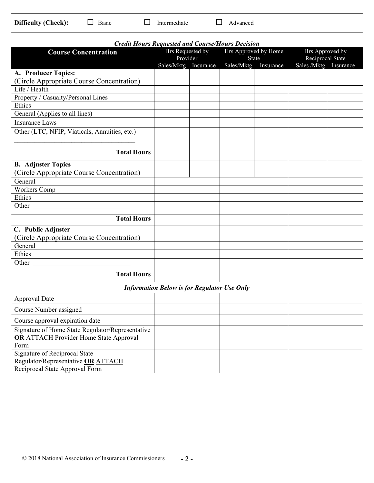|--|

| <b>Credit Hours Requested and Course/Hours Decision</b>                                                   |                                  |  |                                      |  |                                           |  |  |  |  |  |  |  |
|-----------------------------------------------------------------------------------------------------------|----------------------------------|--|--------------------------------------|--|-------------------------------------------|--|--|--|--|--|--|--|
| <b>Course Concentration</b>                                                                               | Hrs Requested by                 |  | Hrs Approved by Home                 |  | Hrs Approved by                           |  |  |  |  |  |  |  |
|                                                                                                           | Provider<br>Sales/Mktg Insurance |  | <b>State</b><br>Sales/Mktg Insurance |  | Reciprocal State<br>Sales /Mktg Insurance |  |  |  |  |  |  |  |
| A. Producer Topics:                                                                                       |                                  |  |                                      |  |                                           |  |  |  |  |  |  |  |
| (Circle Appropriate Course Concentration)                                                                 |                                  |  |                                      |  |                                           |  |  |  |  |  |  |  |
| Life / Health                                                                                             |                                  |  |                                      |  |                                           |  |  |  |  |  |  |  |
| Property / Casualty/Personal Lines                                                                        |                                  |  |                                      |  |                                           |  |  |  |  |  |  |  |
| Ethics                                                                                                    |                                  |  |                                      |  |                                           |  |  |  |  |  |  |  |
| General (Applies to all lines)                                                                            |                                  |  |                                      |  |                                           |  |  |  |  |  |  |  |
| <b>Insurance Laws</b>                                                                                     |                                  |  |                                      |  |                                           |  |  |  |  |  |  |  |
| Other (LTC, NFIP, Viaticals, Annuities, etc.)                                                             |                                  |  |                                      |  |                                           |  |  |  |  |  |  |  |
| <b>Total Hours</b>                                                                                        |                                  |  |                                      |  |                                           |  |  |  |  |  |  |  |
| <b>B.</b> Adjuster Topics                                                                                 |                                  |  |                                      |  |                                           |  |  |  |  |  |  |  |
| (Circle Appropriate Course Concentration)                                                                 |                                  |  |                                      |  |                                           |  |  |  |  |  |  |  |
| General                                                                                                   |                                  |  |                                      |  |                                           |  |  |  |  |  |  |  |
| Workers Comp                                                                                              |                                  |  |                                      |  |                                           |  |  |  |  |  |  |  |
| Ethics                                                                                                    |                                  |  |                                      |  |                                           |  |  |  |  |  |  |  |
| Other                                                                                                     |                                  |  |                                      |  |                                           |  |  |  |  |  |  |  |
| <b>Total Hours</b>                                                                                        |                                  |  |                                      |  |                                           |  |  |  |  |  |  |  |
| C. Public Adjuster                                                                                        |                                  |  |                                      |  |                                           |  |  |  |  |  |  |  |
| (Circle Appropriate Course Concentration)                                                                 |                                  |  |                                      |  |                                           |  |  |  |  |  |  |  |
| General                                                                                                   |                                  |  |                                      |  |                                           |  |  |  |  |  |  |  |
| Ethics                                                                                                    |                                  |  |                                      |  |                                           |  |  |  |  |  |  |  |
| Other <u>experience</u>                                                                                   |                                  |  |                                      |  |                                           |  |  |  |  |  |  |  |
| <b>Total Hours</b>                                                                                        |                                  |  |                                      |  |                                           |  |  |  |  |  |  |  |
| <b>Information Below is for Regulator Use Only</b>                                                        |                                  |  |                                      |  |                                           |  |  |  |  |  |  |  |
| <b>Approval Date</b>                                                                                      |                                  |  |                                      |  |                                           |  |  |  |  |  |  |  |
| Course Number assigned                                                                                    |                                  |  |                                      |  |                                           |  |  |  |  |  |  |  |
| Course approval expiration date                                                                           |                                  |  |                                      |  |                                           |  |  |  |  |  |  |  |
| Signature of Home State Regulator/Representative<br><b>OR ATTACH Provider Home State Approval</b><br>Form |                                  |  |                                      |  |                                           |  |  |  |  |  |  |  |
| Signature of Reciprocal State<br>Regulator/Representative OR ATTACH<br>Reciprocal State Approval Form     |                                  |  |                                      |  |                                           |  |  |  |  |  |  |  |